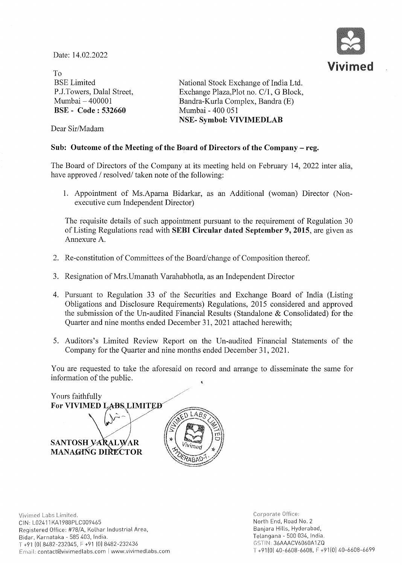Date: 14.02.2022



To BSE Limited P.J.Towers, Dalal Street, Mumbai - 400001 BSE - Code: 532660

National Stock Exchange of India Ltd. Exchange Plaza, Plot no. C/1, G Block, Bandra-Kurla Complex, Bandra (E) Mumbai - 400 051 NSE- Symbol: VIVIMEDLAB

Dear Sir/Madam

## Sub: Outcome of the Meeting of the Board of Directors of the Company - reg.

The Board of Directors of the Company at its meeting held on February 14, 2022 inter alia, have approved / resolved/ taken note of the following:

1. Appointment of Ms.Aparna Bidarkar, as an Additional (woman) Director (Nonexecutive cum Independent Director)

The requisite details of such appointment pursuant to the requirement of Regulation 30 of Listing Regulations read with SEBI Circular dated September 9, 2015, are given as Annexure A.

- 2. Re-constitution of Committees of the Board/change of Composition thereof.
- 3. Resignation of Mrs.Umanath Varahabhotla, as an Independent Director
- 4. Pursuant to Regulation 33 of the Securities and Exchange Board of India (Listing Obligations and Disclosure Requirements) Regulations, 2015 considered and approved the submission of the Un-audited Financial Results (Standalone & Consolidated) for the Quarter and nine months ended December 31, 2021 attached herewith;
- 5. Auditors's Limited Review Report on the Un-audited Financial Statements of the Company for the Quarter and nine months ended December 31, 2021.

You are requested to take the aforesaid on record and arrange to disseminate the same for information of the public.

Yours faithfully For VIVIMED LABS LIMITED SANTOSH VARALWAR MANAGING DIRECTOR

Corporate Office: North End, Road No, 2 Banjara Hills, Hyderabad, Telangana - 500 034, India, GSTIN,36AAACV6060A1ZQ  $T +910$ ] 40-6608-6608, F +91(0) 40-6608-6699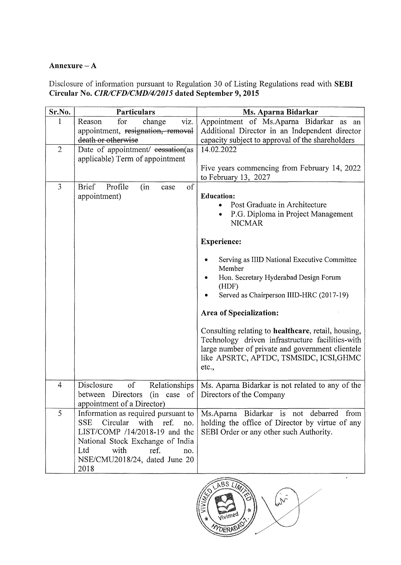# Annexure  $-A$

Disclosure of information pursuant to Regulation 30 of Listing Regulations read with SEBI Circular No. *CIRlCFDICMDI412015* dated September 9,2015

| Sr.No.         | <b>Particulars</b>                                                                                  | Ms. Aparna Bidarkar                                                                                  |  |  |  |  |  |
|----------------|-----------------------------------------------------------------------------------------------------|------------------------------------------------------------------------------------------------------|--|--|--|--|--|
| $\mathbf{1}$   | for<br>viz.<br>Reason<br>change                                                                     | Appointment of Ms.Aparna Bidarkar as an                                                              |  |  |  |  |  |
|                | appointment, resignation, removal                                                                   | Additional Director in an Independent director                                                       |  |  |  |  |  |
| $\overline{2}$ | death or otherwise                                                                                  | capacity subject to approval of the shareholders<br>14.02.2022                                       |  |  |  |  |  |
|                | Date of appointment/ eessation(as<br>applicable) Term of appointment                                |                                                                                                      |  |  |  |  |  |
|                |                                                                                                     | Five years commencing from February 14, 2022<br>to February 13, 2027                                 |  |  |  |  |  |
| 3              | <b>Brief</b><br>Profile<br>of<br>(in<br>case                                                        |                                                                                                      |  |  |  |  |  |
|                | appointment)                                                                                        | <b>Education:</b><br>Post Graduate in Architecture<br>P.G. Diploma in Project Management             |  |  |  |  |  |
|                |                                                                                                     | <b>NICMAR</b>                                                                                        |  |  |  |  |  |
|                |                                                                                                     | <b>Experience:</b>                                                                                   |  |  |  |  |  |
|                |                                                                                                     | Serving as IIID National Executive Committee<br>۰<br>Member                                          |  |  |  |  |  |
|                |                                                                                                     | Hon. Secretary Hyderabad Design Forum<br>(HDF)                                                       |  |  |  |  |  |
|                |                                                                                                     | Served as Chairperson IIID-HRC (2017-19)<br>۰                                                        |  |  |  |  |  |
|                |                                                                                                     | Area of Specialization:                                                                              |  |  |  |  |  |
|                |                                                                                                     | Consulting relating to healthcare, retail, housing,                                                  |  |  |  |  |  |
|                |                                                                                                     | Technology driven infrastructure facilities-with<br>large number of private and government clientele |  |  |  |  |  |
|                |                                                                                                     | like APSRTC, APTDC, TSMSIDC, ICSI, GHMC<br>etc.,                                                     |  |  |  |  |  |
| 4              | of<br>Disclosure<br>Relationships<br>(in case of<br>between Directors<br>appointment of a Director) | Ms. Aparna Bidarkar is not related to any of the<br>Directors of the Company                         |  |  |  |  |  |
| 5              | Information as required pursuant to                                                                 | Ms.Aparna Bidarkar is not debarred from                                                              |  |  |  |  |  |
|                | Circular<br><b>SSE</b><br>with ref.<br>no.                                                          | holding the office of Director by virtue of any                                                      |  |  |  |  |  |
|                | LIST/COMP /14/2018-19 and the                                                                       | SEBI Order or any other such Authority.                                                              |  |  |  |  |  |
|                | National Stock Exchange of India<br>Ltd<br>with<br>ref.<br>no.                                      |                                                                                                      |  |  |  |  |  |
|                | NSE/CMU2018/24, dated June 20                                                                       |                                                                                                      |  |  |  |  |  |
|                | 2018                                                                                                |                                                                                                      |  |  |  |  |  |



 $\bar{\mathbf{z}}$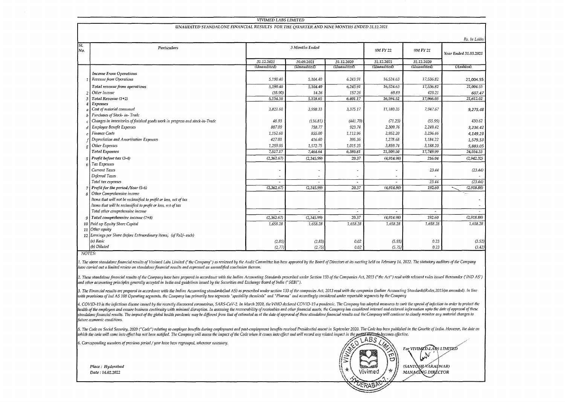#### **VIVIMED LABS LIMITED**

### UNAUDITED STANDALONE FINANCIAL RESULTS FOR THE OUARTER AND NINE MONTHS ENDED 31.12.2021

|            |                                                                              |             |                |             |             |             | Rs. In Lakhs          |
|------------|------------------------------------------------------------------------------|-------------|----------------|-------------|-------------|-------------|-----------------------|
| SI.<br>No. | Particulars                                                                  |             | 3 Months Ended |             |             | 9M FY 21    | Year Ended 31.03.2021 |
|            |                                                                              | 31.12.2021  | 30.09.2021     | 31.12.2020  | 31.12.2021  | 31.12.2020  |                       |
|            |                                                                              | (Unaudited) | (Unaudited)    | (Unaudited) | (Unaudited) | (Unaudited) | (Audited)             |
|            | <b>Income From Operations</b>                                                |             |                |             |             |             |                       |
|            | Revenue from Operations                                                      | 5,190.40    | 5,104.40       | 6,243.91    | 16,524.63   | 17,536.82   | 21,004.55             |
|            | Total revenue from operations                                                | 5,190.40    | 5,104.40       | 6,243.91    | 16,524.63   | 17,536.82   | 21,004.55             |
|            | Other Income                                                                 | (35.90)     | 14.26          | 157.26      | 69.89       | 429.21      | 607.47                |
|            | Total Revenue (1+2)                                                          | 5,154.50    | 5,118.65       | 6,401.17    | 16,594.52   | 17,966.03   | 21,612.02             |
|            | <b>Expenses</b>                                                              |             |                |             |             |             |                       |
|            | Cost of material consumed                                                    | 3,821.60    | 3,998.33       | 3,375.17    | 11,180.35   | 7,947.67    | 9,275.48              |
|            | Purchases of Stock- in-Trade                                                 |             |                |             |             |             |                       |
|            | Changes in inventories of finished goods work in progress and stock-in-Trade | 48.93       | (136.81)       | (441.70)    | (71.23)     | (55.99)     | 430.62                |
|            | <b>Employee Benefit Expenses</b>                                             | 807.09      | 758.77         | 923.74      | 2,309.76    | 2,249.42    | 3,236.42              |
|            | Finance Costs                                                                | 1,152.60    | 855.00         | 1,112.96    | 2,952.20    | 3,236.46    | 4,149.23              |
|            | Depreciation and Amortisation Expenses                                       | 427.00      | 416.60         | 395.36      | 1,278.68    | 1,184.22    | 1,579.53              |
|            | Other Expenses                                                               | 1,259.95    | 1,572.75       | 1,015.25    | 3,859.74    | 3,188.20    | 5,883.05              |
|            | <b>Total Expenses</b>                                                        | 7,517.17    | 7,464.64       | 6,380.81    | 21,509.50   | 17,749.99   | 24,554.33             |
|            | $5$ Profit before tax (3-4)                                                  | (2,362.67)  | (2,345.99)     | 20.37       | (4,914.98)  | 216.04      | (2,942.32)            |
|            | Tax Expenses                                                                 |             |                |             |             |             |                       |
|            | Current Taxes                                                                |             |                |             | ٠           | 23.44       | (23.44)               |
|            | Deferred Taxes                                                               |             |                |             |             |             |                       |
|            | Total tax expenses                                                           |             |                |             |             | 23.44       | (23.44)               |
|            | Profit for the period /Year (5-6)                                            | (2,362.67)  | (2,345.99)     | 20.37       | (4.914.98)  | 192.60      | (2,918.88)            |
|            | Other Comprehensive income                                                   |             |                |             |             |             |                       |
|            | Items that will not be reclassified to profit or loss, net of tax            |             |                |             |             |             |                       |
|            | Items that will be reclassified to profit or loss, net of tax                |             |                |             |             |             |                       |
|            | Total other comprehensive income                                             |             |                |             | $\sim$      |             |                       |
|            | 9 Total comprehensive income $(7+8)$                                         | (2,362.67)  | (2,345.99)     | 20.37       | (4,914.98)  | 192.60      | (2,918.88)            |
|            | 10 Paid up Equity Share Capital                                              | 1,658.28    | 1,658.28       | 1,658.28    | 1,658.28    | 1,658.28    | 1,658.28              |
|            | 11 Other equity                                                              |             |                |             |             |             |                       |
|            | 12 Earnings per Share (before Extraordinary Items) (of Rs2/- each)           |             |                |             |             |             |                       |
|            | (a) Basic                                                                    | (2.85)      | (2.83)         | 0.02        | (5.93)      | 0.23        | (3.52)                |
|            | (b) Diluted                                                                  | (2.77)      | (2.75)         | 0.02        | (5.75)      | 0.23        | (3.42)                |

NOTES:

1. The above standalone financial results of Vivimed Labs Limited ("the Company") as reviewed by the Audit Committee has been approved by the Board of Directors at its meeting held on February 14, 2022. The statutory audit have carried out a limited review on standalone financia! results and expressed an unmodified conclusion thereon.

2. These standalone financial results of the Company have been prepared in accordance with the Indian Accounting Standards prescribed under Section 133 of the Companies Act, 2013 ("the Act") read with relevant rules issued and other accounting principles generally accepted in India and guidelines issued by the Securities and Exchange Board of India ("SEBI").

3. The Financial results are prepared in accordance with the Indian Accounting standards(Ind AS) as prescribed under section 133 of the companies Act, 2013 read with the companies (Indian Accounting Standards)Rules,2015(as with provisions of Ind AS 108 Operating segments, the Company has primarily two segments "speciality chemicals" and "Pharma" and accordingly considered under reportable segments by the Company

4. COVID-19 is the infectious disease caused by the recently discovered coronavirus, SARS-CoV-2. In March 2020, the WHO declared COVID-19 a pandemic. The Company has adopted measures to curb the spread of infection in orde Incalit of the employees and ensure business continuity with minimal disruption. In assessing the recoverability of receivables and other financial assets, the Company has considered internal and external information upto standalone financial results. The impact of the global health pandemic may be different from that of estimated as at the date of approval of these standalone financial results and the Company will continue to closely monit future economic conditions.

5. The Code on Social Security, 2020 ("Code") relating to employee benefits during employment and post-employment benefits received Presidential assent in September 2020. The Code has been published in the Gazette of India which the code will come into effect has not been notified. The Company will assess the impact of the Code when it comes into effect and will record any related impact in the perial Mezope lectore.

LABS

Vivimed

YERAB

 $\Xi^{\prime}$ 

 $\Lambda$ 

For VIVIMCD LABS LIMITED Land

(SANTOSH VARAI WAR)

MANAGING DIRECTOR

6. Corresponding numbers of previous period / year have been regrouped, wherever necessary.

Place: Hyderabad Date: 14.02.2022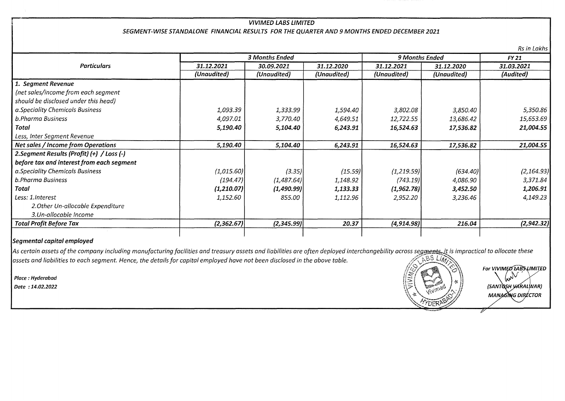# r . VIVIMED LABS LIMITED SEGMENT-WISE STANDALONE FINANCIAL RESULTS FOR THE QUARTER AND 9 MONTHS ENDED DECEMBER 2021

2.Segment Results (Profit) (+) / Loss (-) 31.12.2021 (Unaudited) 1,093.39 4,097.01 5,190.40 5,190.40 3 Months Ended 30.09.2021 (Unaudited) 1,333.99 3,770.40 5,104.40 5,104.40 9 Months Ended 31.12.2020 31.12.2021 31.12.2020 (Unaudited) (Unaudited) (Unaudited) 1,594.40 3,802.08 3,850.40 4,649.51 12,722.55 13,686.42 6,243.91 16,524.63 17,536.82 6,243.91 16,524.63 17,536.82 FY21 31.03.2021 (Audited) 5,350.86 15,653.69 21,004.55 21,004.55

| b.Pharma Business                 | (194.47)   | (1,487.64) | 1,148.92 | (743.19)    | 4.086.90 |  |
|-----------------------------------|------------|------------|----------|-------------|----------|--|
| Total                             | (1,210.07) | (1,490.99) | 1,133.33 | (1,962.78)  | 3,452.50 |  |
| Less: 1.Interest                  | 1,152.60   | 855.00     | 1,112.96 | 2,952.20    | 3,236.46 |  |
| 2. Other Un-allocable Expenditure |            |            |          |             |          |  |
| 3.Un-allocable Income             |            |            |          |             |          |  |
| <b>Total Profit Before Tax</b>    | (2.362.67) | (2,345.99) | 20.37    | (4, 914.98) | 216.04   |  |
|                                   |            |            |          |             |          |  |

 $(3.35)$ 

(l,015.60)

## Segmental capital employed

1. Segment Revenue

b.Pharma Business

Less, Inter Segment Revenue

a.Speciality Chemicals Business

Total

{net sales/income from each segment should be disclosed under this head) a.Speciality Chemicals Business

Net sales / Income from Operations

before tax and interest from each segment

Particulars

As certain assets of the company including manufacturing facilities and treasury assets and liabilities are often deployed interchangebility across segments, it is impractical to allocate these assets and liabilities to each segment. Hence, the details for capital employed have not been disclosed in the above table.



/"/

 $(15.59)$   $(1,219.59)$   $(634.40)$ 

Rs in Lakhs

 $(2,164.93)$ 3,371.84 1,206.91 4,149.23

(2, 942.32}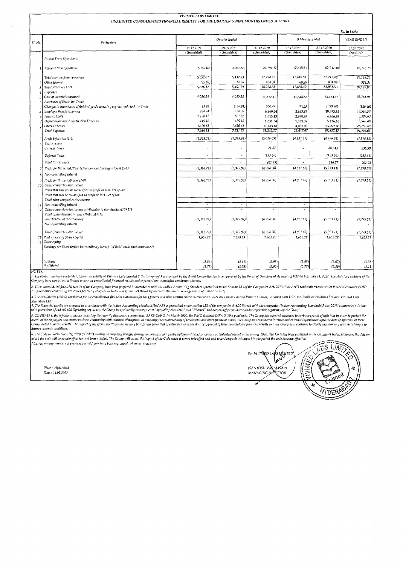|                 |                                                                                                                                                                                                                                | <b>VIVIMED LABS LIMITED</b>                     |                          |                      |                       |                       |                            |  |
|-----------------|--------------------------------------------------------------------------------------------------------------------------------------------------------------------------------------------------------------------------------|-------------------------------------------------|--------------------------|----------------------|-----------------------|-----------------------|----------------------------|--|
|                 | UNAUDITED CONSOLIDATED FINANCIAL RESULTS FOR THE QUARTER & NINE MONTHS ENDED 31.12.2021                                                                                                                                        |                                                 |                          |                      |                       |                       |                            |  |
|                 | Particulars                                                                                                                                                                                                                    |                                                 | Quarter Ended            |                      |                       | 9 Months Ended        | Rs. In Lakhs<br>YEAR ENDED |  |
| Sl. No.         |                                                                                                                                                                                                                                | 31, 12, 2021                                    | 30.09.2021               | 31.12.2020           | 31.12.2021            | 31.12.2020            | 31.03.2021                 |  |
|                 |                                                                                                                                                                                                                                | (Unaudited)                                     | (Unandited)              | (Unaudited)          | (Unaudited)           | (Unaudited)           | (Audited)                  |  |
|                 | <b>Income From Operations</b>                                                                                                                                                                                                  |                                                 |                          |                      |                       |                       |                            |  |
|                 | Revenue from operations                                                                                                                                                                                                        | 5,652.02                                        | 5,437.53                 | 27,794.27            | 17,615.51             | 82,247.48             | 86,146.75                  |  |
|                 | Total revenue from operations                                                                                                                                                                                                  | 5,652.02                                        | 5,437.53                 | 27,794.27            | 17,615.51             | 82,247.48             | 86,146,75                  |  |
|                 | Other Income                                                                                                                                                                                                                   | (35.89)                                         | 14.26                    | 434.31               | 69.89                 | 804.06                | 982.32                     |  |
| R               | Total Revenue (1+2)                                                                                                                                                                                                            | 5,616.12                                        | 5,451,79                 | 28,228.58            | 17,685.40             | 83,051.53             | 87,129.06                  |  |
|                 | Expenses<br>Cost of material consumed<br>Purchases of Stock- in- Trade                                                                                                                                                         | 4,086.54                                        | 4,090.58                 | 11,327.11            | 11,648.58             | 34,454.15             | 35,781.96                  |  |
|                 | Changes in inventories of finished goods work in progress and stock-in-Trade                                                                                                                                                   | 48.93                                           | (136.81)                 | 500.47               | $-71,23$              | (690.30)              | (329.40)                   |  |
|                 | <b>Employee Benefit Expenses</b>                                                                                                                                                                                               | 924.74                                          | 874.35                   | 6,969.54             | 2,653.83              | 18,473.81             | 19,565.59                  |  |
|                 | <b>Finance Costs</b>                                                                                                                                                                                                           | 1,158.12                                        | 861.82                   | 1,613.43             | 2,970.47              | 4,466.98              | 5,387.63                   |  |
|                 | Depreciation and Amortisation Expenses                                                                                                                                                                                         | 445.16                                          | 435.16                   | 1,651.54             | 1,333.39              | 5,136.16              | 5,549.48                   |  |
|                 | Other Expenses                                                                                                                                                                                                                 | 1,320.83                                        | 1,656.62<br>7,781.71     | 11,183.18            | 4,082.03              | 25,997.06             | 28,750.40                  |  |
|                 | <b>Total Expenses</b>                                                                                                                                                                                                          | 7,984.33                                        |                          | 33,245.27            | 22,617.07             | 87,837.87             | 94,705.66                  |  |
| 5               | Profit before tax (3-4)                                                                                                                                                                                                        | (2,368.21)                                      | (2,329.92)               | (5,016.69)           | (4, 931.67)           | (4,786.34)            | (7, 576.59)                |  |
|                 | Tax expenses<br>Current Taxes                                                                                                                                                                                                  |                                                 | $\tilde{\phantom{a}}$    | 71.87                |                       | 380.43                | 336.58                     |  |
|                 | Deferred Taxes                                                                                                                                                                                                                 | $\ddot{\phantom{0}}$                            | $\overline{\phantom{a}}$ | (133.66)             |                       | (133.66)              | (133.66)                   |  |
|                 | Total tax expenses                                                                                                                                                                                                             |                                                 | ۰                        | (61.79)              |                       | 246.77                | 202.92                     |  |
| 71              | Profit for the period /Year before non-controlling interest (5-6)                                                                                                                                                              | (2,368.21)                                      | (2,329.92)               | (4,954.90)           | (4,931.67)            | (5,033.11)            | (7,779.51)                 |  |
| 8               | Non-controlling interest                                                                                                                                                                                                       |                                                 |                          |                      |                       |                       |                            |  |
|                 | Profit for the period/year (7-8)                                                                                                                                                                                               | (2,368.21)                                      | (2, 329.92)              | (4, 954.90)          | (4, 931.67)           | (5,033.11)            | (7, 779.51)                |  |
| 10 <sup>1</sup> | Other comprehensive income<br>Items that will not be reclassified to profit or loss, net of tax<br>Items that will be reclassified to profit or loss, net of tax                                                               |                                                 |                          |                      |                       |                       |                            |  |
|                 | Total other comprehensive income                                                                                                                                                                                               | ÷,                                              | $\overline{\phantom{a}}$ | $\blacksquare$       | $\tilde{\phantom{a}}$ | $\tilde{\phantom{a}}$ | $\sim$                     |  |
|                 | 11 Non-controlling interest                                                                                                                                                                                                    | $\overline{\phantom{a}}$<br>$\hat{\phantom{a}}$ | $\tilde{\phantom{a}}$    | ×.<br>$\mathbf{r}_i$ | Ξ<br>$\mathbf{r}$     | ٠                     |                            |  |
|                 | 12 Other comprehensive income attributable to shareholders(10+11)<br>Total comprehensive income attributable to:                                                                                                               |                                                 | $\blacksquare$           |                      |                       | $\sim$                |                            |  |
|                 | Shareholders of the Company                                                                                                                                                                                                    | (2, 368.21)                                     | (2,329.92)               | (4,954.90)           | (4,931.67)            | (5,033.11)            | (7, 779.51)                |  |
|                 | Non-controlling interest                                                                                                                                                                                                       |                                                 |                          |                      |                       |                       |                            |  |
|                 | Total Comprehensive income                                                                                                                                                                                                     | (2, 368.21)                                     | (2,329.92)               | (4, 954, 90)         | (4, 931.67)           | (5,033.11)            | (7, 779.51)                |  |
|                 | 13 Paid up Equity Share Capital                                                                                                                                                                                                | 1,658.28                                        | 1,658.28                 | 1,658.28             | 1,658.28              | 1,658.28              | 1,658.28                   |  |
|                 | 14 Other cauity                                                                                                                                                                                                                |                                                 |                          |                      |                       |                       |                            |  |
|                 | 15 Earnings per Share (before Extraordinary Items) (of Rs2/- each) (not annualised)                                                                                                                                            |                                                 |                          |                      |                       |                       |                            |  |
|                 | (a) Basic                                                                                                                                                                                                                      | (2.86)                                          | (2.81)                   | (5.98)               | (5.95)                | (6.07)                | (9.38)                     |  |
|                 | (b) Diluted                                                                                                                                                                                                                    | (2.77)                                          | (2.73)                   | (5.80)               | (5.77)                | (5.89)                | (9.11)                     |  |
| NOTES:          | 1. The above unaudited consolidated financial results of Vivimed Labs Limited ("the Company") as reviewed by the Audit Committee has been approved by the Board of Directors at its meeting held on February 14, 2022. The sta |                                                 |                          |                      |                       |                       |                            |  |

Company have carried out a limited review on consolidated financial results and expressed an unmodified conclusion thereon.

2. These consolidated financial results of the Company have been prepared in accordance with the Indian Accounting Standards prescribed under Section 133 of the Companies Act, 2013 ("the Act") read with relevant rules issu AS') and other accounting principles generally accepted in India and guidelines issued by the Securities and Exchange Board of India ("SEBI").

3. The subsidiaries (100%) considered for the consolidated financial statements for the Quarter and nine months ended December 31, 2021 are Finoso Pharma Private Limited, Vivimed Labs USA Inc, Vivimed Holdings Ltd and Vivi 

1. The Frame and the State of the State of the Relation of the Relation of the State of the State of a state of a state of a state of a state of a state of a state of the state of the Relate of Couplement State of a state future economic conditions.

v<br>6. The Code on Social Security, 2020 ("Code") relating to employee benefits during employment and post-employment benefits received Presidential assent in September 2020. The Code has been published in the Gazette of Ind

Place: Huderabad Date: 14.02.2022

TOS LIMIT *AS WALTED* For VIVINCD L. Ĺ, Ċ S (SANTOSH VARALIVAR)<br>MANAGING DIKECTOR ķ **AYDERAS**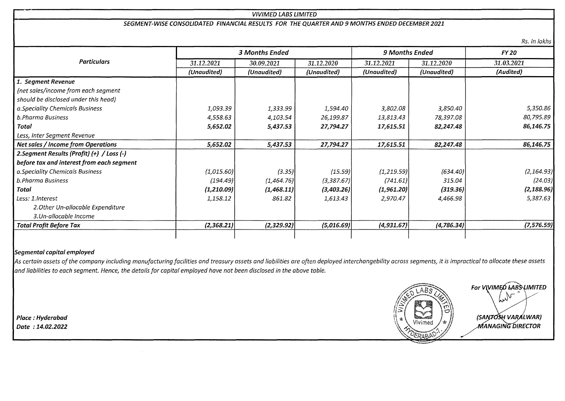### VIVIMED LABS LIMITED

### SEGMENT-WISE CONSOLIDATED FINANCIAL RESULTS FOR THE QUARTER AND 9 MONTHS ENDED DECEMBER 2021

Rs. In lakhs

|                                            | 3 Months Ended |             |             | 9 Months Ended |             | <b>FY 20</b> |  |
|--------------------------------------------|----------------|-------------|-------------|----------------|-------------|--------------|--|
| <b>Particulars</b>                         | 31.12.2021     | 30.09.2021  | 31.12.2020  | 31.12.2021     | 31.12.2020  | 31.03.2021   |  |
|                                            | (Unaudited)    | (Unaudited) | (Unaudited) | (Unaudited)    | (Unaudited) | (Audited)    |  |
| 1. Segment Revenue                         |                |             |             |                |             |              |  |
| (net sales/income from each segment        |                |             |             |                |             |              |  |
| should be disclosed under this head)       |                |             |             |                |             |              |  |
| a.Speciality Chemicals Business            | 1,093.39       | 1,333.99    | 1,594.40    | 3,802.08       | 3,850.40    | 5,350.86     |  |
| b.Pharma Business                          | 4,558.63       | 4,103.54    | 26,199.87   | 13,813.43      | 78,397.08   | 80,795.89    |  |
| Total                                      | 5,652.02       | 5,437.53    | 27,794.27   | 17,615.51      | 82,247.48   | 86,146.75    |  |
| Less, Inter Segment Revenue                |                |             |             |                |             |              |  |
| Net sales / Income from Operations         | 5,652.02       | 5,437.53    | 27,794.27   | 17,615.51      | 82,247.48   | 86,146.75    |  |
| 2. Segment Results (Profit) (+) / Loss (-) |                |             |             |                |             |              |  |
| before tax and interest from each segment  |                |             |             |                |             |              |  |
| a.Speciality Chemicals Business            | (1,015.60)     | (3.35)      | (15.59)     | (1, 219.59)    | (634.40)    | (2, 164.93)  |  |
| b.Pharma Business                          | (194.49)       | (1,464.76)  | (3,387.67)  | (741.61)       | 315.04      | (24.03)      |  |
| Total                                      | (1,210.09)     | (1,468.11)  | (3,403.26)  | (1,961.20)     | (319.36)    | (2, 188.96)  |  |
| Less: 1.Interest                           | 1,158.12       | 861.82      | 1,613.43    | 2,970.47       | 4,466.98    | 5,387.63     |  |
| 2. Other Un-allocable Expenditure          |                |             |             |                |             |              |  |
| 3.Un-allocable Income                      |                |             |             |                |             |              |  |
| <b>Total Profit Before Tax</b>             | (2,368.21)     | (2,329.92)  | (5,016.69)  | (4,931.67)     | (4,786.34)  | (7, 576.59)  |  |

### Segmental capital employed

As certain assets of the company including manufacturing facilities and treasury assets and liabilities are often deployed interchangebility across segments, it is impractical to allocate these assets and liabilities to each segment. Hence, the details for capital employed have not been disclosed in the above table.

For V (VIMED LABS LIMITED  $\begin{matrix} \cdot & \cdot \end{matrix}$  $\left($  $\left(\begin{array}{c}\n\sqrt{2} \\
\sqrt{2}\n\end{array}\right)$  (SANFOSH VARALWAR)  $\log$  Date : 14.02.2022 MANAGING DIRECTOR '\:&\$tAS~\J;;;I --

Place: Hyderabad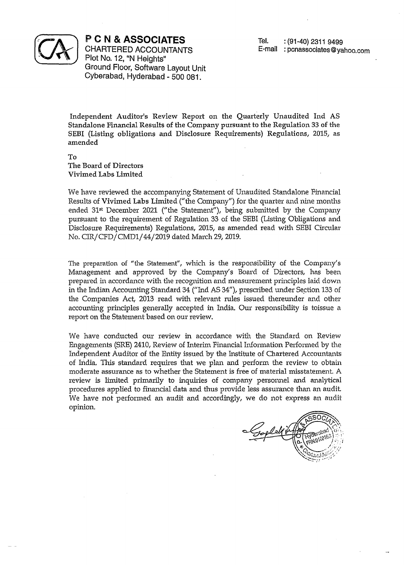

**PCN & ASSOCIATES** 

Tel. : (91-40) 2311 9499 E-mail: pcnassociates@yahoo.com

CHARTERED ACCOUNTANTS Plot No. 12, "N Heights" Ground Floor, Software Layout Unit Cyberabad, Hyderabad - 500 081.

Independent Auditor's Review Report on the Quarterly Unaudited Ind AS Standalone Financial Results of the Company pursuant to the Regulation 33 of the SEBI (Listing obligations and Disclosure Requirements) Regulations, 2015, as amended

To The Board of Directors Vivimed Labs Limited

We have reviewed the accompanying Statement of Unaudited Standalone Financial Results of Vivimed Labs Limited *("* the *Company")* for the quarter and nine months ended 31<sup>st</sup> December 2021 ("the Statement"), being submitted by the Company pursuant to the requirement of Regulation 33 of the SEBI (Listing Obligations and Disclosure Requirements) Regulations, 2015, as amended read with SEBI Circular No. CIR/CFD/CMD1/44/2019 dated March 29,2019.

The preparation of "the Statement", which is the responsibility of the Company's Management and approved by the Company's Board of Directors, has been prepared in accordance with the recognition and measurement principles laid down in the Indian Accounting Standard 34 ("Ind AS 34"), prescribed under Section 133 of the Companies Act, 2013 read with relevant rules issued thereunder and other accounting principles generally accepted in India. Our responsibility is toissue a report on the Statement based on our review.

We have conducted our review in accordance with the Standard on Review Engagements (SRE) 2410, Review of Interim Financial Information Performed by the Independent Auditor of the Entity issued by the Institute of Chartered Accountants of India. This standard requires that we plan and perform the review to obtain moderate assurance as to whether the Statement is free of material misstatement. A review is limited primarily to inquiries of company personnel and analytical procedures applied to financial data and thus provide less assurance than an audit. We have not performed an audit and accordingly, we do not express an audit opinion.

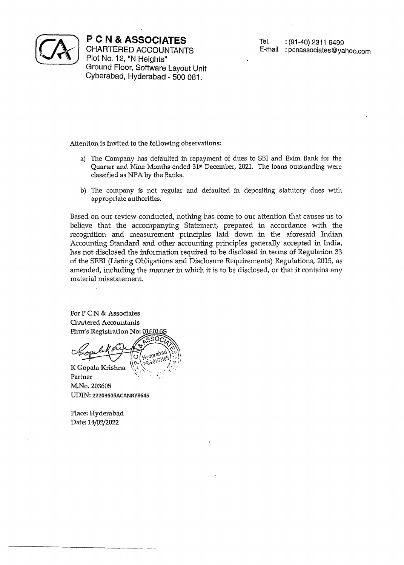

**PCN & ASSOCIATES** 

CHARTERED ACCOUNTANTS Plot No. 12, "N Heights" Ground Floor, Software Layout Unit Cyberabad, Hyderabad - 500 081.

Attention is invited to the following observations:

- a) The Company has defaulted in repayment of dues to SBI and Exim Bank for the Quarter and Nine Months ended 31st December, 2021. The loans outstanding were classified as NPA by the Banks.
- b) The company is not regular and defaulted in depositing statutory dues with appropriate authorities.

Based on our review conducted, nothing has come to our attention that causes us to believe that the accompanying Statement, prepared in accordance with the recognition and measurement principles laid down in the aforesaid Indian Accounting Standard and other accounting principles generally accepted in India, has not disclosed the information required to be disclosed in terms of Regulation 33 of the SEBI (Listing Obligations and Disclosure Requirements) Regulations, 2015, as amended, including the manner in which it is to be disclosed, or that it contains any material misstatement.

For P C N & Associates **Chartered Accountants** Firm's Registration No: 0160169

K Gopala Krishna Partner M.No. 203605

UDIN: 22203605ACANRY8645

Place: Hyderabad Date: *14/02{2022*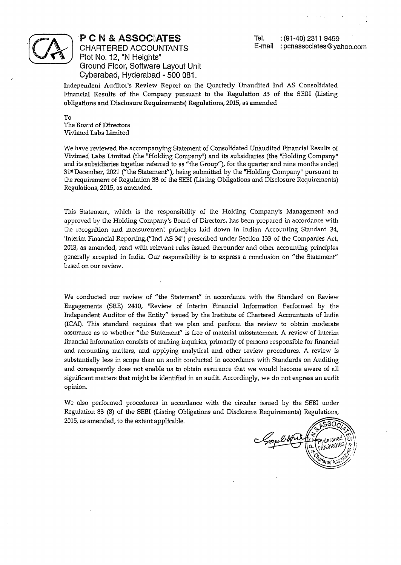

P C N & ASSOCIATES

CHARTERED ACCOUNTANTS Plot No. 12, "N Heights" Ground Floor, Software Layout Unit Cyberabad, Hyderabad - 500 081.

Tel. : (91-40) 2311 9499 E~mail: pcnassociates@yahoo.com

Independent Auditor's Review Report on the Quarterly Unaudited Ind AS Consolidated Financial Results of the Company pursuant to the Regulation 33 of the SEBI (Listing obligations and Disclosure Requirements) Regulations, 2015, as amended

To The Board of Directors Vivimed Labs Limited

We have reviewed the accompanying Statement of Consolidated Unaudited Financial Results of Vivimed Labs Limited (the "Holding Company") and its subsidiaries (the "Holding Company" and its subsidiaries together referred to as "the Group"), for the quarter and nine months ended 31st December, 2021 ("the Statement"), being submitted by the "Holding Company" pursuant to the requirement of Regulation 33 of the SEBI (Listing Obligations and Disclosure Requirements) Regulations, 2015, as amended.

This Statement, which is the responsibility of the Holding Company's Management and approved by the Holding Company's Board of Directors, has been prepared in accordance with the recognition and measurement principles laid down in Indian Accounting Standard 34, 'Interim Financial Reporting,("Ind AS 34") prescribed under Section 133 of the Companies Act, 2013, as amended, read with relevant rules issued thereunder and other accounting principles generally accepted in India. Our responsibility is to express a conclusion on "the Statement" based on our review.

We conducted our review of "the Statement" in accordance with the Standard on Review Engagements (SRE) 2410, "Review of Interim Financial Information Performed by the Independent Auditor of the Entity" issued by the Institute of Chartered Accountants of India (ICAl). This standard requires that we plan and perform the review to obtain moderate assurance as to whether "the Statement" is free of material misstatement. A review of interim financial information consists of making inquiries, primarily of persons responsible for financial and accounting matters, and applying analytical and other review procedures. A review is substantially less in scope than an audit conducted in accordance with Standards on Auditing and consequently does not enable us to obtain assurance that we would become aware of all significant matters that might be identified in an audit. Accordingly, we do not express an audit opinion.

We also performed procedures in accordance with the circular issued by the SEBI under Regulation 33 (8) of the SEBI (Listing Obligations and Disclosure Requirements) Regulations, 2015, as amended, to the extent applicable.

SO. Flyderabad Tered As